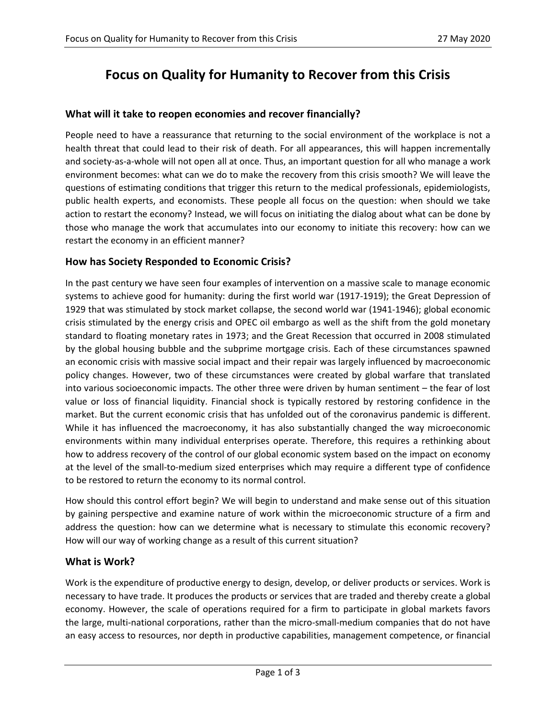# **Focus on Quality for Humanity to Recover from this Crisis**

#### **What will it take to reopen economies and recover financially?**

People need to have a reassurance that returning to the social environment of the workplace is not a health threat that could lead to their risk of death. For all appearances, this will happen incrementally and society-as-a-whole will not open all at once. Thus, an important question for all who manage a work environment becomes: what can we do to make the recovery from this crisis smooth? We will leave the questions of estimating conditions that trigger this return to the medical professionals, epidemiologists, public health experts, and economists. These people all focus on the question: when should we take action to restart the economy? Instead, we will focus on initiating the dialog about what can be done by those who manage the work that accumulates into our economy to initiate this recovery: how can we restart the economy in an efficient manner?

## **How has Society Responded to Economic Crisis?**

In the past century we have seen four examples of intervention on a massive scale to manage economic systems to achieve good for humanity: during the first world war (1917-1919); the Great Depression of 1929 that was stimulated by stock market collapse, the second world war (1941-1946); global economic crisis stimulated by the energy crisis and OPEC oil embargo as well as the shift from the gold monetary standard to floating monetary rates in 1973; and the Great Recession that occurred in 2008 stimulated by the global housing bubble and the subprime mortgage crisis. Each of these circumstances spawned an economic crisis with massive social impact and their repair was largely influenced by macroeconomic policy changes. However, two of these circumstances were created by global warfare that translated into various socioeconomic impacts. The other three were driven by human sentiment – the fear of lost value or loss of financial liquidity. Financial shock is typically restored by restoring confidence in the market. But the current economic crisis that has unfolded out of the coronavirus pandemic is different. While it has influenced the macroeconomy, it has also substantially changed the way microeconomic environments within many individual enterprises operate. Therefore, this requires a rethinking about how to address recovery of the control of our global economic system based on the impact on economy at the level of the small-to-medium sized enterprises which may require a different type of confidence to be restored to return the economy to its normal control.

How should this control effort begin? We will begin to understand and make sense out of this situation by gaining perspective and examine nature of work within the microeconomic structure of a firm and address the question: how can we determine what is necessary to stimulate this economic recovery? How will our way of working change as a result of this current situation?

# **What is Work?**

Work is the expenditure of productive energy to design, develop, or deliver products or services. Work is necessary to have trade. It produces the products or services that are traded and thereby create a global economy. However, the scale of operations required for a firm to participate in global markets favors the large, multi-national corporations, rather than the micro-small-medium companies that do not have an easy access to resources, nor depth in productive capabilities, management competence, or financial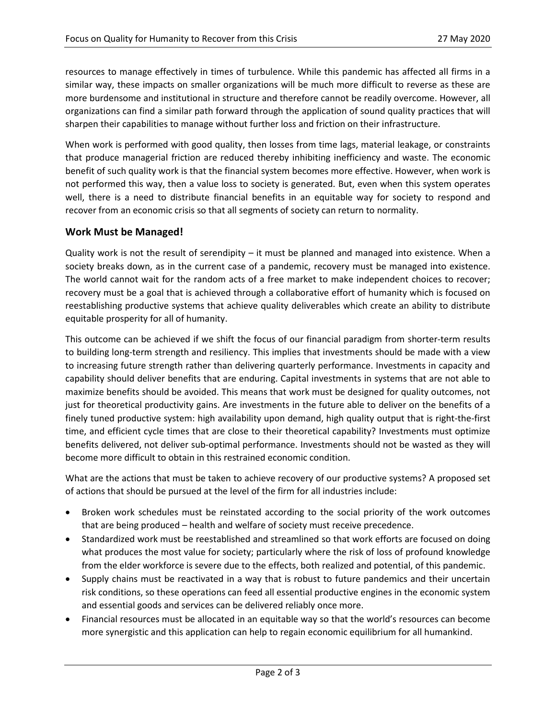resources to manage effectively in times of turbulence. While this pandemic has affected all firms in a similar way, these impacts on smaller organizations will be much more difficult to reverse as these are more burdensome and institutional in structure and therefore cannot be readily overcome. However, all organizations can find a similar path forward through the application of sound quality practices that will sharpen their capabilities to manage without further loss and friction on their infrastructure.

When work is performed with good quality, then losses from time lags, material leakage, or constraints that produce managerial friction are reduced thereby inhibiting inefficiency and waste. The economic benefit of such quality work is that the financial system becomes more effective. However, when work is not performed this way, then a value loss to society is generated. But, even when this system operates well, there is a need to distribute financial benefits in an equitable way for society to respond and recover from an economic crisis so that all segments of society can return to normality.

#### **Work Must be Managed!**

Quality work is not the result of serendipity – it must be planned and managed into existence. When a society breaks down, as in the current case of a pandemic, recovery must be managed into existence. The world cannot wait for the random acts of a free market to make independent choices to recover; recovery must be a goal that is achieved through a collaborative effort of humanity which is focused on reestablishing productive systems that achieve quality deliverables which create an ability to distribute equitable prosperity for all of humanity.

This outcome can be achieved if we shift the focus of our financial paradigm from shorter-term results to building long-term strength and resiliency. This implies that investments should be made with a view to increasing future strength rather than delivering quarterly performance. Investments in capacity and capability should deliver benefits that are enduring. Capital investments in systems that are not able to maximize benefits should be avoided. This means that work must be designed for quality outcomes, not just for theoretical productivity gains. Are investments in the future able to deliver on the benefits of a finely tuned productive system: high availability upon demand, high quality output that is right-the-first time, and efficient cycle times that are close to their theoretical capability? Investments must optimize benefits delivered, not deliver sub-optimal performance. Investments should not be wasted as they will become more difficult to obtain in this restrained economic condition.

What are the actions that must be taken to achieve recovery of our productive systems? A proposed set of actions that should be pursued at the level of the firm for all industries include:

- Broken work schedules must be reinstated according to the social priority of the work outcomes that are being produced – health and welfare of society must receive precedence.
- Standardized work must be reestablished and streamlined so that work efforts are focused on doing what produces the most value for society; particularly where the risk of loss of profound knowledge from the elder workforce is severe due to the effects, both realized and potential, of this pandemic.
- Supply chains must be reactivated in a way that is robust to future pandemics and their uncertain risk conditions, so these operations can feed all essential productive engines in the economic system and essential goods and services can be delivered reliably once more.
- Financial resources must be allocated in an equitable way so that the world's resources can become more synergistic and this application can help to regain economic equilibrium for all humankind.